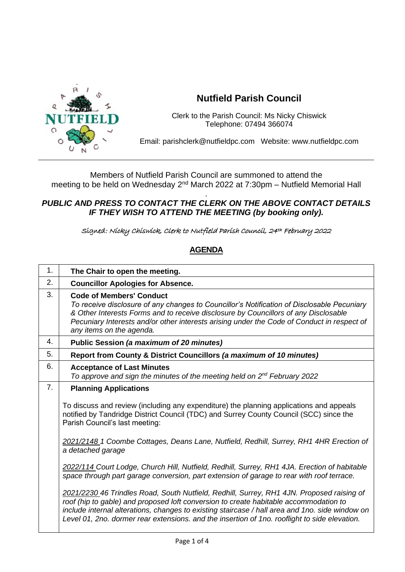

## **Nutfield Parish Council**

Clerk to the Parish Council: Ms Nicky Chiswick Telephone: 07494 366074

Email: parishclerk@nutfieldpc.com Website: www.nutfieldpc.com

Members of Nutfield Parish Council are summoned to attend the meeting to be held on Wednesday 2<sup>nd</sup> March 2022 at 7:30pm – Nutfield Memorial Hall

## . *PUBLIC AND PRESS TO CONTACT THE CLERK ON THE ABOVE CONTACT DETAILS IF THEY WISH TO ATTEND THE MEETING (by booking only).*

Signed: Nicky Chiswick, Clerk to Nutfield Parish Council, 24th February 2022

## **AGENDA**

| 1. | The Chair to open the meeting.                                                                                                                                                                                                                                                                                                                                                         |
|----|----------------------------------------------------------------------------------------------------------------------------------------------------------------------------------------------------------------------------------------------------------------------------------------------------------------------------------------------------------------------------------------|
| 2. | <b>Councillor Apologies for Absence.</b>                                                                                                                                                                                                                                                                                                                                               |
| 3. | <b>Code of Members' Conduct</b><br>To receive disclosure of any changes to Councillor's Notification of Disclosable Pecuniary<br>& Other Interests Forms and to receive disclosure by Councillors of any Disclosable<br>Pecuniary Interests and/or other interests arising under the Code of Conduct in respect of<br>any items on the agenda.                                         |
| 4. | Public Session (a maximum of 20 minutes)                                                                                                                                                                                                                                                                                                                                               |
| 5. | Report from County & District Councillors (a maximum of 10 minutes)                                                                                                                                                                                                                                                                                                                    |
| 6. | <b>Acceptance of Last Minutes</b><br>To approve and sign the minutes of the meeting held on 2 <sup>nd</sup> February 2022                                                                                                                                                                                                                                                              |
| 7. | <b>Planning Applications</b>                                                                                                                                                                                                                                                                                                                                                           |
|    | To discuss and review (including any expenditure) the planning applications and appeals<br>notified by Tandridge District Council (TDC) and Surrey County Council (SCC) since the<br>Parish Council's last meeting:                                                                                                                                                                    |
|    | 2021/2148 1 Coombe Cottages, Deans Lane, Nutfield, Redhill, Surrey, RH1 4HR Erection of<br>a detached garage                                                                                                                                                                                                                                                                           |
|    | 2022/114 Court Lodge, Church Hill, Nutfield, Redhill, Surrey, RH1 4JA. Erection of habitable<br>space through part garage conversion, part extension of garage to rear with roof terrace.                                                                                                                                                                                              |
|    | 2021/2230 46 Trindles Road, South Nutfield, Redhill, Surrey, RH1 4JN. Proposed raising of<br>roof (hip to gable) and proposed loft conversion to create habitable accommodation to<br>include internal alterations, changes to existing staircase / hall area and 1no. side window on<br>Level 01, 2no. dormer rear extensions. and the insertion of 1no. rooflight to side elevation. |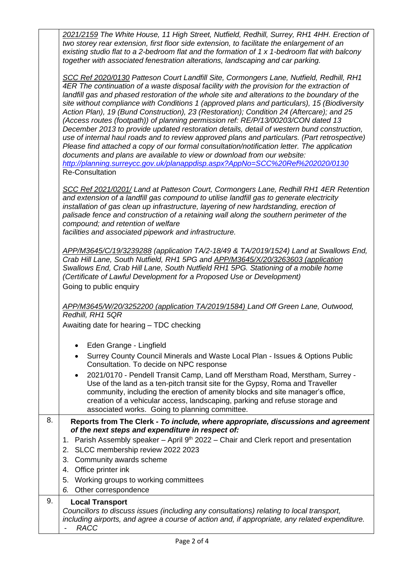|    | 2021/2159 The White House, 11 High Street, Nutfield, Redhill, Surrey, RH1 4HH. Erection of<br>two storey rear extension, first floor side extension, to facilitate the enlargement of an<br>existing studio flat to a 2-bedroom flat and the formation of $1 \times 1$ -bedroom flat with balcony<br>together with associated fenestration alterations, landscaping and car parking.                                                                                                                                                                                                                                                                                                                                                                                                                                                                                                                                                                                                                                                                      |
|----|-----------------------------------------------------------------------------------------------------------------------------------------------------------------------------------------------------------------------------------------------------------------------------------------------------------------------------------------------------------------------------------------------------------------------------------------------------------------------------------------------------------------------------------------------------------------------------------------------------------------------------------------------------------------------------------------------------------------------------------------------------------------------------------------------------------------------------------------------------------------------------------------------------------------------------------------------------------------------------------------------------------------------------------------------------------|
|    | SCC Ref 2020/0130 Patteson Court Landfill Site, Cormongers Lane, Nutfield, Redhill, RH1<br>4ER The continuation of a waste disposal facility with the provision for the extraction of<br>landfill gas and phased restoration of the whole site and alterations to the boundary of the<br>site without compliance with Conditions 1 (approved plans and particulars), 15 (Biodiversity<br>Action Plan), 19 (Bund Construction), 23 (Restoration); Condition 24 (Aftercare); and 25<br>(Access routes (footpath)) of planning permission ref: RE/P/13/00203/CON dated 13<br>December 2013 to provide updated restoration details, detail of western bund construction,<br>use of internal haul roads and to review approved plans and particulars. (Part retrospective)<br>Please find attached a copy of our formal consultation/notification letter. The application<br>documents and plans are available to view or download from our website:<br>http://planning.surreycc.gov.uk/planappdisp.aspx?AppNo=SCC%20Ref%202020/0130<br><b>Re-Consultation</b> |
|    | SCC Ref 2021/0201/ Land at Patteson Court, Cormongers Lane, Redhill RH1 4ER Retention<br>and extension of a landfill gas compound to utilise landfill gas to generate electricity<br>installation of gas clean up infrastructure, layering of new hardstanding, erection of<br>palisade fence and construction of a retaining wall along the southern perimeter of the<br>compound; and retention of welfare<br>facilities and associated pipework and infrastructure.                                                                                                                                                                                                                                                                                                                                                                                                                                                                                                                                                                                    |
|    | APP/M3645/C/19/3239288 (application TA/2-18/49 & TA/2019/1524) Land at Swallows End,<br>Crab Hill Lane, South Nutfield, RH1 5PG and APP/M3645/X/20/3263603 (application<br>Swallows End, Crab Hill Lane, South Nutfield RH1 5PG. Stationing of a mobile home<br>(Certificate of Lawful Development for a Proposed Use or Development)<br>Going to public enquiry                                                                                                                                                                                                                                                                                                                                                                                                                                                                                                                                                                                                                                                                                          |
|    | APP/M3645/W/20/3252200 (application TA/2019/1584) Land Off Green Lane, Outwood,<br>Redhill, RH1 5QR<br>Awaiting date for hearing - TDC checking                                                                                                                                                                                                                                                                                                                                                                                                                                                                                                                                                                                                                                                                                                                                                                                                                                                                                                           |
|    | Eden Grange - Lingfield<br>Surrey County Council Minerals and Waste Local Plan - Issues & Options Public<br>$\bullet$<br>Consultation. To decide on NPC response<br>2021/0170 - Pendell Transit Camp, Land off Merstham Road, Merstham, Surrey -<br>$\bullet$<br>Use of the land as a ten-pitch transit site for the Gypsy, Roma and Traveller<br>community, including the erection of amenity blocks and site manager's office,<br>creation of a vehicular access, landscaping, parking and refuse storage and<br>associated works. Going to planning committee.                                                                                                                                                                                                                                                                                                                                                                                                                                                                                         |
| 8. | Reports from The Clerk - To include, where appropriate, discussions and agreement<br>of the next steps and expenditure in respect of:<br>1. Parish Assembly speaker - April 9 <sup>th</sup> 2022 - Chair and Clerk report and presentation<br>2. SLCC membership review 2022 2023<br>Community awards scheme<br>3.<br>4. Office printer ink<br>5. Working groups to working committees<br>Other correspondence<br>6.                                                                                                                                                                                                                                                                                                                                                                                                                                                                                                                                                                                                                                      |
| 9. | <b>Local Transport</b><br>Councillors to discuss issues (including any consultations) relating to local transport,<br>including airports, and agree a course of action and, if appropriate, any related expenditure.<br><b>RACC</b>                                                                                                                                                                                                                                                                                                                                                                                                                                                                                                                                                                                                                                                                                                                                                                                                                       |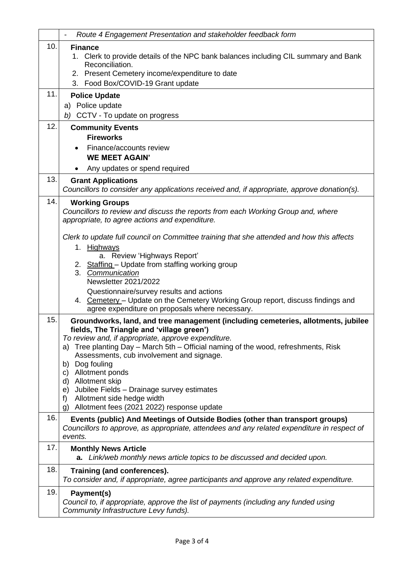|     | Route 4 Engagement Presentation and stakeholder feedback form                                                                                                                                                                                                                                                                                                                                                                                                                                                                                 |
|-----|-----------------------------------------------------------------------------------------------------------------------------------------------------------------------------------------------------------------------------------------------------------------------------------------------------------------------------------------------------------------------------------------------------------------------------------------------------------------------------------------------------------------------------------------------|
| 10. | <b>Finance</b><br>1. Clerk to provide details of the NPC bank balances including CIL summary and Bank<br>Reconciliation.<br>2. Present Cemetery income/expenditure to date<br>3. Food Box/COVID-19 Grant update                                                                                                                                                                                                                                                                                                                               |
| 11. | <b>Police Update</b><br>a) Police update<br>b) CCTV - To update on progress                                                                                                                                                                                                                                                                                                                                                                                                                                                                   |
| 12. | <b>Community Events</b><br><b>Fireworks</b><br>Finance/accounts review<br><b>WE MEET AGAIN'</b><br>Any updates or spend required                                                                                                                                                                                                                                                                                                                                                                                                              |
| 13. | <b>Grant Applications</b><br>Councillors to consider any applications received and, if appropriate, approve donation(s).                                                                                                                                                                                                                                                                                                                                                                                                                      |
| 14. | <b>Working Groups</b><br>Councillors to review and discuss the reports from each Working Group and, where<br>appropriate, to agree actions and expenditure.                                                                                                                                                                                                                                                                                                                                                                                   |
|     | Clerk to update full council on Committee training that she attended and how this affects<br>1. Highways<br>a. Review 'Highways Report'<br>2. Staffing - Update from staffing working group<br>3. Communication<br><b>Newsletter 2021/2022</b><br>Questionnaire/survey results and actions<br>4. Cemetery - Update on the Cemetery Working Group report, discuss findings and<br>agree expenditure on proposals where necessary.                                                                                                              |
| 15. | Groundworks, land, and tree management (including cemeteries, allotments, jubilee<br>fields, The Triangle and 'village green')<br>To review and, if appropriate, approve expenditure.<br>Tree planting Day - March 5th - Official naming of the wood, refreshments, Risk<br>a)<br>Assessments, cub involvement and signage.<br>Dog fouling<br>b)<br>Allotment ponds<br>C)<br>Allotment skip<br>d)<br>Jubilee Fields - Drainage survey estimates<br>e)<br>Allotment side hedge width<br>f)<br>Allotment fees (2021 2022) response update<br>g) |
| 16. | Events (public) And Meetings of Outside Bodies (other than transport groups)<br>Councillors to approve, as appropriate, attendees and any related expenditure in respect of<br>events.                                                                                                                                                                                                                                                                                                                                                        |
| 17. | <b>Monthly News Article</b><br>Link/web monthly news article topics to be discussed and decided upon.<br>а.                                                                                                                                                                                                                                                                                                                                                                                                                                   |
| 18. | Training (and conferences).<br>To consider and, if appropriate, agree participants and approve any related expenditure.                                                                                                                                                                                                                                                                                                                                                                                                                       |
| 19. | Payment(s)<br>Council to, if appropriate, approve the list of payments (including any funded using<br>Community Infrastructure Levy funds).                                                                                                                                                                                                                                                                                                                                                                                                   |